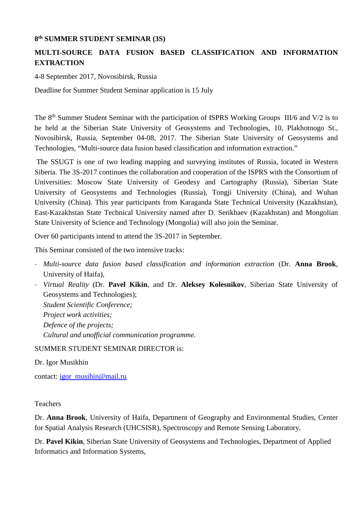## **8th SUMMER STUDENT SEMINAR (3S)**

## **MULTI-SOURCE DATA FUSION BASED CLASSIFICATION AND INFORMATION EXTRACTION**

4-8 September 2017, Novosibirsk, Russia

Deadline for Summer Student Seminar application is 15 July

The 8<sup>th</sup> Summer Student Seminar with the participation of ISPRS Working Groups III/6 and V/2 is to be held at the Siberian State University of Geosystems and Technologies, 10, Plakhotnogo St., Novosibirsk, Russia, September 04-08, 2017. The Siberian State University of Geosystems and Technologies, "Multi-source data fusion based classification and information extraction."

The SSUGT is one of two leading mapping and surveying institutes of Russia, located in Western Siberia. The 3S-2017 continues the collaboration and cooperation of the ISPRS with the Consortium of Universities: Moscow State University of Geodesy and Cartography (Russia), Siberian State University of Geosystems and Technologies (Russia), Tongji University (China), and Wuhan University (China). This year participants from Karaganda State Technical University (Kazakhstan), East-Kazakhstan State Technical University named after D. Serikbaev (Kazakhstan) and Mongolian State University of Science and Technology (Mongolia) will also join the Seminar.

Over 60 participants intend to attend the 3S-2017 in September.

This Seminar consisted of the two intensive tracks:

- ‐ *Multi-source data fusion based classification and information extraction* (Dr. **Anna Brook**, University of Haifa),
- ‐ *Virtual Reality* (Dr. **Pavel Kikin**, and Dr. **Aleksey Kolesnikov**, Siberian State University of Geosystems and Technologies);

*Student Scientific Conference; Project work activities; Defence of the projects; Cultural and unofficial communication programme.*

SUMMER STUDENT SEMINAR DIRECTOR is:

Dr. Igor Musikhin

contact: [igor\\_musihin@mail.ru](mailto:igor_musihin@mail.ru)

## Teachers

Dr. **Anna Brook**, University of Haifa, Department of Geography and Environmental Studies, Center for Spatial Analysis Research (UHCSISR), Spectroscopy and Remote Sensing Laboratory.

Dr. **Pavel Kikin**, Siberian State University of Geosystems and Technologies, Department of Applied Informatics and Information Systems,